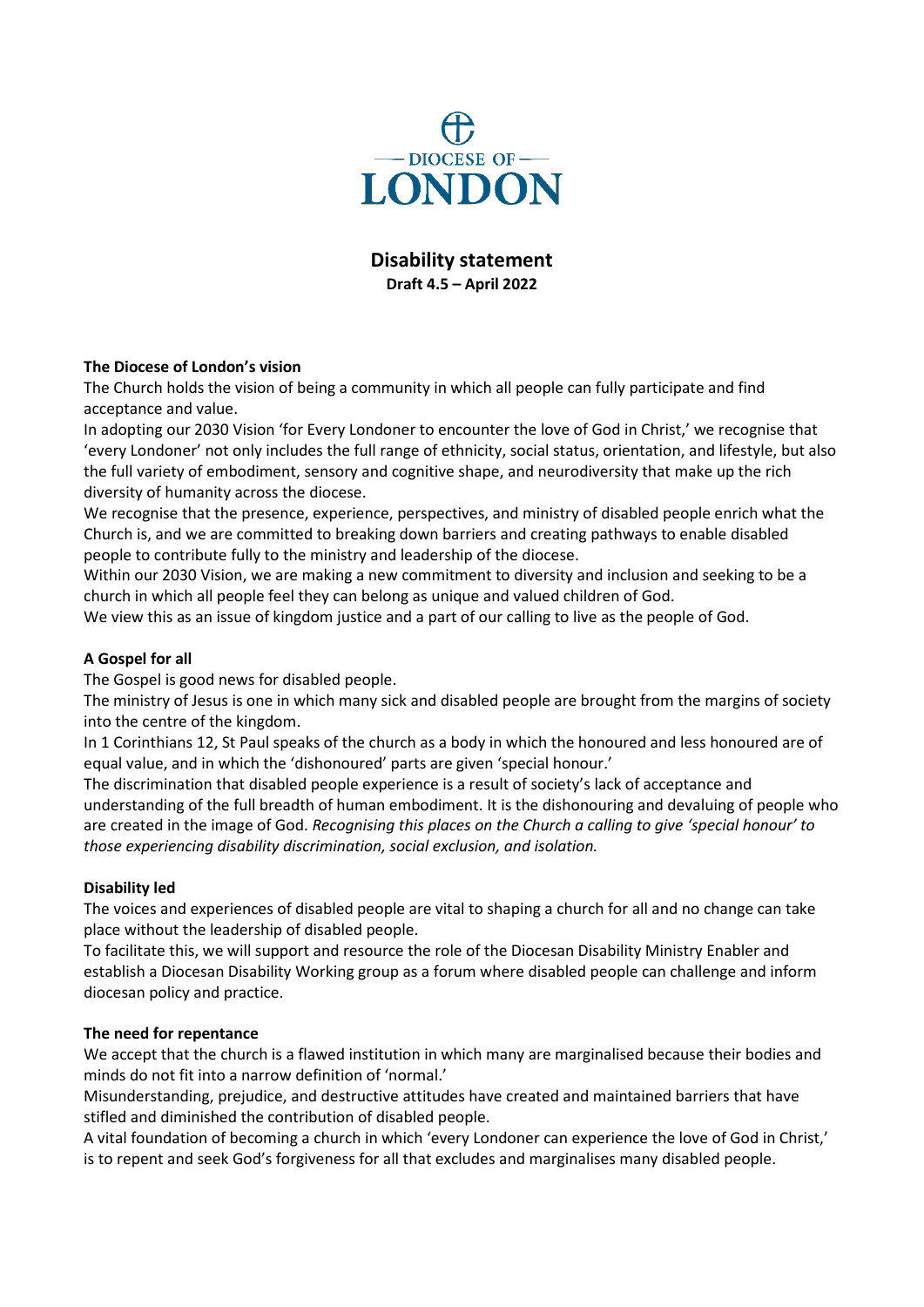

**Disability statement Draft 4.5 – April 2022**

# **The Diocese of London's vision**

The Church holds the vision of being a community in which all people can fully participate and find acceptance and value.

In adopting our 2030 Vision 'for Every Londoner to encounter the love of God in Christ,' we recognise that 'every Londoner' not only includes the full range of ethnicity, social status, orientation, and lifestyle, but also the full variety of embodiment, sensory and cognitive shape, and neurodiversity that make up the rich diversity of humanity across the diocese.

We recognise that the presence, experience, perspectives, and ministry of disabled people enrich what the Church is, and we are committed to breaking down barriers and creating pathways to enable disabled people to contribute fully to the ministry and leadership of the diocese.

Within our 2030 Vision, we are making a new commitment to diversity and inclusion and seeking to be a church in which all people feel they can belong as unique and valued children of God.

We view this as an issue of kingdom justice and a part of our calling to live as the people of God.

## **A Gospel for all**

The Gospel is good news for disabled people.

The ministry of Jesus is one in which many sick and disabled people are brought from the margins of society into the centre of the kingdom.

In 1 Corinthians 12, St Paul speaks of the church as a body in which the honoured and less honoured are of equal value, and in which the 'dishonoured' parts are given 'special honour.'

The discrimination that disabled people experience is a result of society's lack of acceptance and understanding of the full breadth of human embodiment. It is the dishonouring and devaluing of people who are created in the image of God. *Recognising this places on the Church a calling to give 'special honour' to those experiencing disability discrimination, social exclusion, and isolation.*

## **Disability led**

The voices and experiences of disabled people are vital to shaping a church for all and no change can take place without the leadership of disabled people.

To facilitate this, we will support and resource the role of the Diocesan Disability Ministry Enabler and establish a Diocesan Disability Working group as a forum where disabled people can challenge and inform diocesan policy and practice.

## **The need for repentance**

We accept that the church is a flawed institution in which many are marginalised because their bodies and minds do not fit into a narrow definition of 'normal.'

Misunderstanding, prejudice, and destructive attitudes have created and maintained barriers that have stifled and diminished the contribution of disabled people.

A vital foundation of becoming a church in which 'every Londoner can experience the love of God in Christ,' is to repent and seek God's forgiveness for all that excludes and marginalises many disabled people.